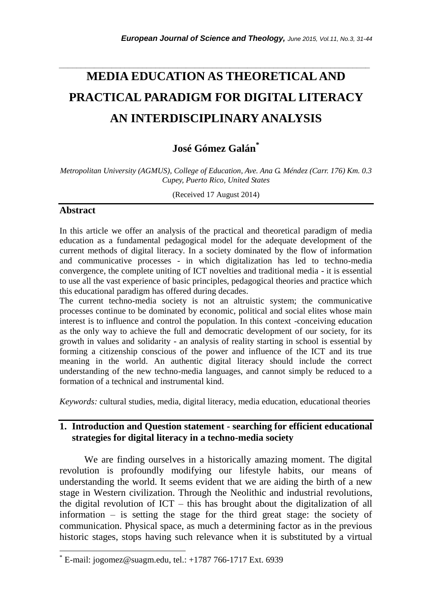# **MEDIA EDUCATION AS THEORETICAL AND PRACTICAL PARADIGM FOR DIGITAL LITERACY AN INTERDISCIPLINARY ANALYSIS**

*\_\_\_\_\_\_\_\_\_\_\_\_\_\_\_\_\_\_\_\_\_\_\_\_\_\_\_\_\_\_\_\_\_\_\_\_\_\_\_\_\_\_\_\_\_\_\_\_\_\_\_\_\_\_\_\_\_\_\_\_\_\_\_\_\_\_\_\_\_\_\_*

## **José Gómez Galán\***

*Metropolitan University (AGMUS), College of Education, Ave. Ana G. Méndez (Carr. 176) Km. 0.3 Cupey, Puerto Rico, United States*

(Received 17 August 2014)

#### **Abstract**

l

In this article we offer an analysis of the practical and theoretical paradigm of media education as a fundamental pedagogical model for the adequate development of the current methods of digital literacy. In a society dominated by the flow of information and communicative processes - in which digitalization has led to techno-media convergence, the complete uniting of ICT novelties and traditional media - it is essential to use all the vast experience of basic principles, pedagogical theories and practice which this educational paradigm has offered during decades.

The current techno-media society is not an altruistic system; the communicative processes continue to be dominated by economic, political and social elites whose main interest is to influence and control the population. In this context -conceiving education as the only way to achieve the full and democratic development of our society, for its growth in values and solidarity - an analysis of reality starting in school is essential by forming a citizenship conscious of the power and influence of the ICT and its true meaning in the world. An authentic digital literacy should include the correct understanding of the new techno-media languages, and cannot simply be reduced to a formation of a technical and instrumental kind.

*Keywords:* cultural studies, media, digital literacy, media education, educational theories

## **1. Introduction and Question statement - searching for efficient educational strategies for digital literacy in a techno-media society**

We are finding ourselves in a historically amazing moment. The digital revolution is profoundly modifying our lifestyle habits, our means of understanding the world. It seems evident that we are aiding the birth of a new stage in Western civilization. Through the Neolithic and industrial revolutions, the digital revolution of ICT – this has brought about the digitalization of all information – is setting the stage for the third great stage: the society of communication. Physical space, as much a determining factor as in the previous historic stages, stops having such relevance when it is substituted by a virtual

E-mail: jogomez@suagm.edu, tel.: +1787 766-1717 Ext. 6939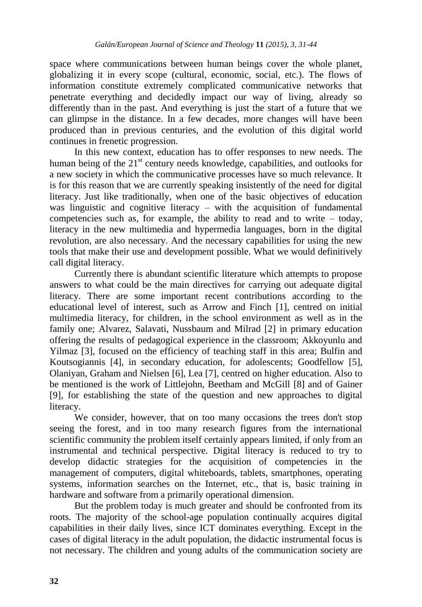space where communications between human beings cover the whole planet, globalizing it in every scope (cultural, economic, social, etc.). The flows of information constitute extremely complicated communicative networks that penetrate everything and decidedly impact our way of living, already so differently than in the past. And everything is just the start of a future that we can glimpse in the distance. In a few decades, more changes will have been produced than in previous centuries, and the evolution of this digital world continues in frenetic progression.

In this new context, education has to offer responses to new needs. The human being of the  $21<sup>st</sup>$  century needs knowledge, capabilities, and outlooks for a new society in which the communicative processes have so much relevance. It is for this reason that we are currently speaking insistently of the need for digital literacy. Just like traditionally, when one of the basic objectives of education was linguistic and cognitive literacy  $-$  with the acquisition of fundamental competencies such as, for example, the ability to read and to write – today, literacy in the new multimedia and hypermedia languages, born in the digital revolution, are also necessary. And the necessary capabilities for using the new tools that make their use and development possible. What we would definitively call digital literacy.

Currently there is abundant scientific literature which attempts to propose answers to what could be the main directives for carrying out adequate digital literacy. There are some important recent contributions according to the educational level of interest, such as Arrow and Finch [1], centred on initial multimedia literacy, for children, in the school environment as well as in the family one; Alvarez, Salavati, Nussbaum and Milrad [2] in primary education offering the results of pedagogical experience in the classroom; Akkoyunlu and Yilmaz [3], focused on the efficiency of teaching staff in this area; Bulfin and Koutsogiannis [4], in secondary education, for adolescents; Goodfellow [5], Olaniyan, Graham and Nielsen [6], Lea [7], centred on higher education. Also to be mentioned is the work of Littlejohn, Beetham and McGill [8] and of Gainer [9], for establishing the state of the question and new approaches to digital literacy.

We consider, however, that on too many occasions the trees don't stop seeing the forest, and in too many research figures from the international scientific community the problem itself certainly appears limited, if only from an instrumental and technical perspective. Digital literacy is reduced to try to develop didactic strategies for the acquisition of competencies in the management of computers, digital whiteboards, tablets, smartphones, operating systems, information searches on the Internet, etc., that is, basic training in hardware and software from a primarily operational dimension.

But the problem today is much greater and should be confronted from its roots. The majority of the school-age population continually acquires digital capabilities in their daily lives, since ICT dominates everything. Except in the cases of digital literacy in the adult population, the didactic instrumental focus is not necessary. The children and young adults of the communication society are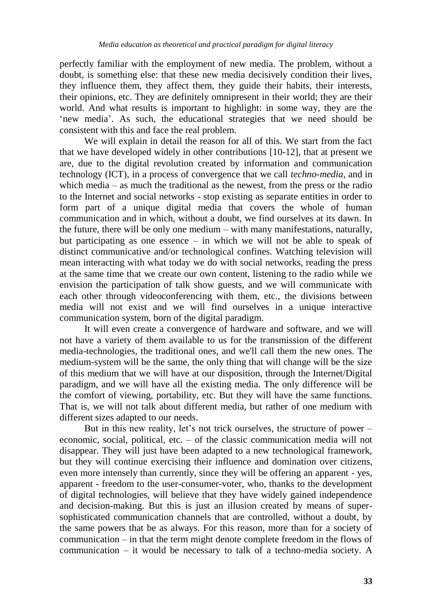perfectly familiar with the employment of new media. The problem, without a doubt, is something else: that these new media decisively condition their lives, they influence them, they affect them, they guide their habits, their interests, their opinions, etc. They are definitely omnipresent in their world; they are their world. And what results is important to highlight: in some way, they are the 'new media'. As such, the educational strategies that we need should be consistent with this and face the real problem.

We will explain in detail the reason for all of this. We start from the fact that we have developed widely in other contributions [10-12], that at present we are, due to the digital revolution created by information and communication technology (ICT), in a process of convergence that we call *techno-media*, and in which media – as much the traditional as the newest, from the press or the radio to the Internet and social networks - stop existing as separate entities in order to form part of a unique digital media that covers the whole of human communication and in which, without a doubt, we find ourselves at its dawn. In the future, there will be only one medium – with many manifestations, naturally, but participating as one essence – in which we will not be able to speak of distinct communicative and/or technological confines. Watching television will mean interacting with what today we do with social networks, reading the press at the same time that we create our own content, listening to the radio while we envision the participation of talk show guests, and we will communicate with each other through videoconferencing with them, etc., the divisions between media will not exist and we will find ourselves in a unique interactive communication system, born of the digital paradigm.

It will even create a convergence of hardware and software, and we will not have a variety of them available to us for the transmission of the different media-technologies, the traditional ones, and we'll call them the new ones. The medium-system will be the same, the only thing that will change will be the size of this medium that we will have at our disposition, through the Internet/Digital paradigm, and we will have all the existing media. The only difference will be the comfort of viewing, portability, etc. But they will have the same functions. That is, we will not talk about different media, but rather of one medium with different sizes adapted to our needs.

But in this new reality, let's not trick ourselves, the structure of power – economic, social, political, etc. – of the classic communication media will not disappear. They will just have been adapted to a new technological framework, but they will continue exercising their influence and domination over citizens, even more intensely than currently, since they will be offering an apparent - yes, apparent - freedom to the user-consumer-voter, who, thanks to the development of digital technologies, will believe that they have widely gained independence and decision-making. But this is just an illusion created by means of supersophisticated communication channels that are controlled, without a doubt, by the same powers that be as always. For this reason, more than for a society of communication – in that the term might denote complete freedom in the flows of communication – it would be necessary to talk of a techno-media society. A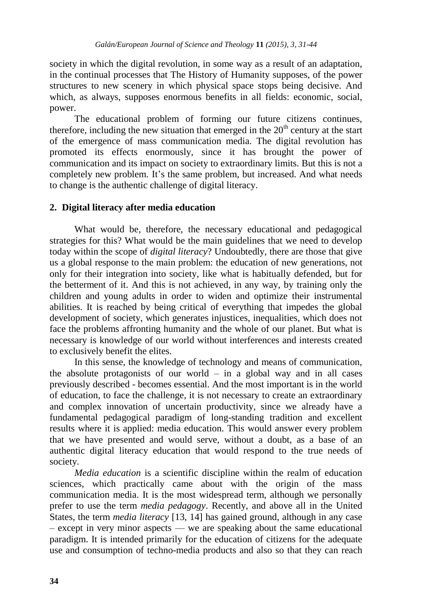society in which the digital revolution, in some way as a result of an adaptation, in the continual processes that The History of Humanity supposes, of the power structures to new scenery in which physical space stops being decisive. And which, as always, supposes enormous benefits in all fields: economic, social, power.

The educational problem of forming our future citizens continues, therefore, including the new situation that emerged in the  $20<sup>th</sup>$  century at the start of the emergence of mass communication media. The digital revolution has promoted its effects enormously, since it has brought the power of communication and its impact on society to extraordinary limits. But this is not a completely new problem. It's the same problem, but increased. And what needs to change is the authentic challenge of digital literacy.

## **2. Digital literacy after media education**

What would be, therefore, the necessary educational and pedagogical strategies for this? What would be the main guidelines that we need to develop today within the scope of *digital literacy*? Undoubtedly, there are those that give us a global response to the main problem: the education of new generations, not only for their integration into society, like what is habitually defended, but for the betterment of it. And this is not achieved, in any way, by training only the children and young adults in order to widen and optimize their instrumental abilities. It is reached by being critical of everything that impedes the global development of society, which generates injustices, inequalities, which does not face the problems affronting humanity and the whole of our planet. But what is necessary is knowledge of our world without interferences and interests created to exclusively benefit the elites.

In this sense, the knowledge of technology and means of communication, the absolute protagonists of our world  $-$  in a global way and in all cases previously described - becomes essential. And the most important is in the world of education, to face the challenge, it is not necessary to create an extraordinary and complex innovation of uncertain productivity, since we already have a fundamental pedagogical paradigm of long-standing tradition and excellent results where it is applied: media education. This would answer every problem that we have presented and would serve, without a doubt, as a base of an authentic digital literacy education that would respond to the true needs of society.

*Media education* is a scientific discipline within the realm of education sciences, which practically came about with the origin of the mass communication media. It is the most widespread term, although we personally prefer to use the term *media pedagogy*. Recently, and above all in the United States, the term *media literacy* [13, 14] has gained ground, although in any case – except in very minor aspects — we are speaking about the same educational paradigm. It is intended primarily for the education of citizens for the adequate use and consumption of techno-media products and also so that they can reach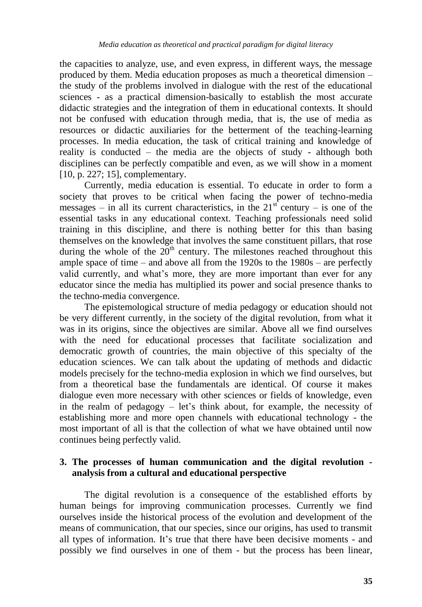the capacities to analyze, use, and even express, in different ways, the message produced by them. Media education proposes as much a theoretical dimension – the study of the problems involved in dialogue with the rest of the educational sciences - as a practical dimension-basically to establish the most accurate didactic strategies and the integration of them in educational contexts. It should not be confused with education through media, that is, the use of media as resources or didactic auxiliaries for the betterment of the teaching-learning processes. In media education, the task of critical training and knowledge of reality is conducted – the media are the objects of study - although both disciplines can be perfectly compatible and even, as we will show in a moment [10, p. 227; 15], complementary.

Currently, media education is essential. To educate in order to form a society that proves to be critical when facing the power of techno-media messages – in all its current characteristics, in the  $21<sup>st</sup>$  century – is one of the essential tasks in any educational context. Teaching professionals need solid training in this discipline, and there is nothing better for this than basing themselves on the knowledge that involves the same constituent pillars, that rose during the whole of the  $20<sup>th</sup>$  century. The milestones reached throughout this ample space of time – and above all from the 1920s to the 1980s – are perfectly valid currently, and what's more, they are more important than ever for any educator since the media has multiplied its power and social presence thanks to the techno-media convergence.

The epistemological structure of media pedagogy or education should not be very different currently, in the society of the digital revolution, from what it was in its origins, since the objectives are similar. Above all we find ourselves with the need for educational processes that facilitate socialization and democratic growth of countries, the main objective of this specialty of the education sciences. We can talk about the updating of methods and didactic models precisely for the techno-media explosion in which we find ourselves, but from a theoretical base the fundamentals are identical. Of course it makes dialogue even more necessary with other sciences or fields of knowledge, even in the realm of pedagogy – let's think about, for example, the necessity of establishing more and more open channels with educational technology - the most important of all is that the collection of what we have obtained until now continues being perfectly valid.

## **3. The processes of human communication and the digital revolution analysis from a cultural and educational perspective**

The digital revolution is a consequence of the established efforts by human beings for improving communication processes. Currently we find ourselves inside the historical process of the evolution and development of the means of communication, that our species, since our origins, has used to transmit all types of information. It's true that there have been decisive moments - and possibly we find ourselves in one of them - but the process has been linear,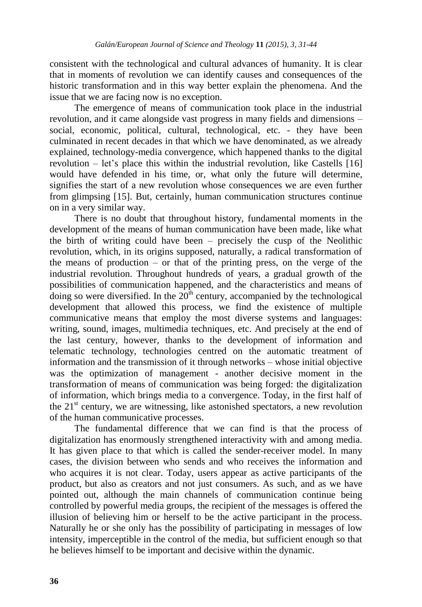consistent with the technological and cultural advances of humanity. It is clear that in moments of revolution we can identify causes and consequences of the historic transformation and in this way better explain the phenomena. And the issue that we are facing now is no exception.

The emergence of means of communication took place in the industrial revolution, and it came alongside vast progress in many fields and dimensions – social, economic, political, cultural, technological, etc. - they have been culminated in recent decades in that which we have denominated, as we already explained, technology-media convergence, which happened thanks to the digital revolution – let's place this within the industrial revolution, like Castells [16] would have defended in his time, or, what only the future will determine, signifies the start of a new revolution whose consequences we are even further from glimpsing [15]. But, certainly, human communication structures continue on in a very similar way.

There is no doubt that throughout history, fundamental moments in the development of the means of human communication have been made, like what the birth of writing could have been – precisely the cusp of the Neolithic revolution, which, in its origins supposed, naturally, a radical transformation of the means of production – or that of the printing press, on the verge of the industrial revolution. Throughout hundreds of years, a gradual growth of the possibilities of communication happened, and the characteristics and means of doing so were diversified. In the  $20<sup>th</sup>$  century, accompanied by the technological development that allowed this process, we find the existence of multiple communicative means that employ the most diverse systems and languages: writing, sound, images, multimedia techniques, etc. And precisely at the end of the last century, however, thanks to the development of information and telematic technology, technologies centred on the automatic treatment of information and the transmission of it through networks – whose initial objective was the optimization of management - another decisive moment in the transformation of means of communication was being forged: the digitalization of information, which brings media to a convergence. Today, in the first half of the  $21<sup>st</sup>$  century, we are witnessing, like astonished spectators, a new revolution of the human communicative processes.

The fundamental difference that we can find is that the process of digitalization has enormously strengthened interactivity with and among media. It has given place to that which is called the sender-receiver model. In many cases, the division between who sends and who receives the information and who acquires it is not clear. Today, users appear as active participants of the product, but also as creators and not just consumers. As such, and as we have pointed out, although the main channels of communication continue being controlled by powerful media groups, the recipient of the messages is offered the illusion of believing him or herself to be the active participant in the process. Naturally he or she only has the possibility of participating in messages of low intensity, imperceptible in the control of the media, but sufficient enough so that he believes himself to be important and decisive within the dynamic.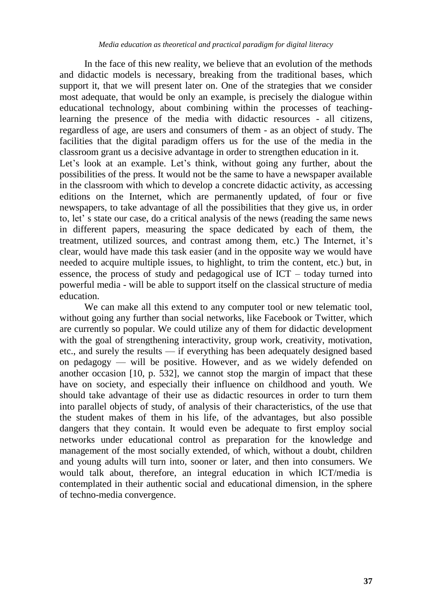In the face of this new reality, we believe that an evolution of the methods and didactic models is necessary, breaking from the traditional bases, which support it, that we will present later on. One of the strategies that we consider most adequate, that would be only an example, is precisely the dialogue within educational technology, about combining within the processes of teachinglearning the presence of the media with didactic resources - all citizens, regardless of age, are users and consumers of them - as an object of study. The facilities that the digital paradigm offers us for the use of the media in the classroom grant us a decisive advantage in order to strengthen education in it. Let's look at an example. Let's think, without going any further, about the possibilities of the press. It would not be the same to have a newspaper available in the classroom with which to develop a concrete didactic activity, as accessing editions on the Internet, which are permanently updated, of four or five newspapers, to take advantage of all the possibilities that they give us, in order to, let' s state our case, do a critical analysis of the news (reading the same news in different papers, measuring the space dedicated by each of them, the treatment, utilized sources, and contrast among them, etc.) The Internet, it's clear, would have made this task easier (and in the opposite way we would have needed to acquire multiple issues, to highlight, to trim the content, etc.) but, in essence, the process of study and pedagogical use of ICT – today turned into powerful media - will be able to support itself on the classical structure of media education.

We can make all this extend to any computer tool or new telematic tool, without going any further than social networks, like Facebook or Twitter, which are currently so popular. We could utilize any of them for didactic development with the goal of strengthening interactivity, group work, creativity, motivation, etc., and surely the results — if everything has been adequately designed based on pedagogy — will be positive. However, and as we widely defended on another occasion [10, p. 532], we cannot stop the margin of impact that these have on society, and especially their influence on childhood and youth. We should take advantage of their use as didactic resources in order to turn them into parallel objects of study, of analysis of their characteristics, of the use that the student makes of them in his life, of the advantages, but also possible dangers that they contain. It would even be adequate to first employ social networks under educational control as preparation for the knowledge and management of the most socially extended, of which, without a doubt, children and young adults will turn into, sooner or later, and then into consumers. We would talk about, therefore, an integral education in which ICT/media is contemplated in their authentic social and educational dimension, in the sphere of techno-media convergence.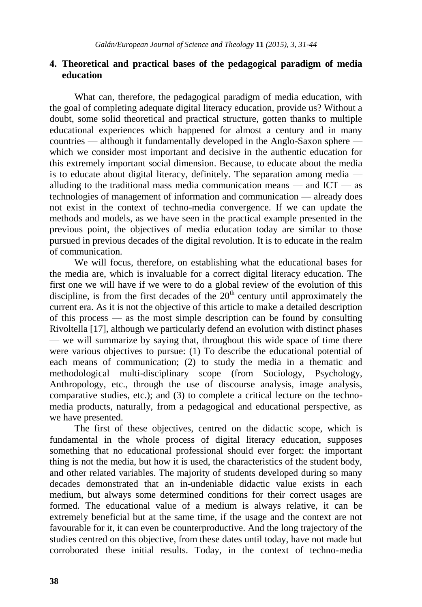#### **4. Theoretical and practical bases of the pedagogical paradigm of media education**

What can, therefore, the pedagogical paradigm of media education, with the goal of completing adequate digital literacy education, provide us? Without a doubt, some solid theoretical and practical structure, gotten thanks to multiple educational experiences which happened for almost a century and in many countries — although it fundamentally developed in the Anglo-Saxon sphere which we consider most important and decisive in the authentic education for this extremely important social dimension. Because, to educate about the media is to educate about digital literacy, definitely. The separation among media alluding to the traditional mass media communication means — and ICT — as technologies of management of information and communication — already does not exist in the context of techno-media convergence. If we can update the methods and models, as we have seen in the practical example presented in the previous point, the objectives of media education today are similar to those pursued in previous decades of the digital revolution. It is to educate in the realm of communication.

We will focus, therefore, on establishing what the educational bases for the media are, which is invaluable for a correct digital literacy education. The first one we will have if we were to do a global review of the evolution of this discipline, is from the first decades of the  $20<sup>th</sup>$  century until approximately the current era. As it is not the objective of this article to make a detailed description of this process — as the most simple description can be found by consulting Rivoltella [17], although we particularly defend an evolution with distinct phases — we will summarize by saying that, throughout this wide space of time there were various objectives to pursue: (1) To describe the educational potential of each means of communication; (2) to study the media in a thematic and methodological multi-disciplinary scope (from Sociology, Psychology, Anthropology, etc., through the use of discourse analysis, image analysis, comparative studies, etc.); and (3) to complete a critical lecture on the technomedia products, naturally, from a pedagogical and educational perspective, as we have presented.

The first of these objectives, centred on the didactic scope, which is fundamental in the whole process of digital literacy education, supposes something that no educational professional should ever forget: the important thing is not the media, but how it is used, the characteristics of the student body, and other related variables. The majority of students developed during so many decades demonstrated that an in-undeniable didactic value exists in each medium, but always some determined conditions for their correct usages are formed. The educational value of a medium is always relative, it can be extremely beneficial but at the same time, if the usage and the context are not favourable for it, it can even be counterproductive. And the long trajectory of the studies centred on this objective, from these dates until today, have not made but corroborated these initial results. Today, in the context of techno-media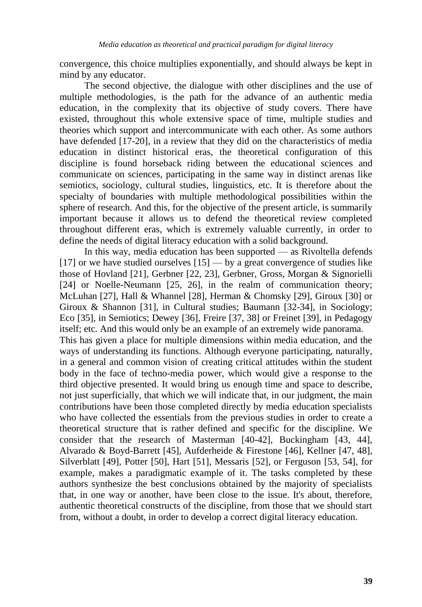convergence, this choice multiplies exponentially, and should always be kept in mind by any educator.

The second objective, the dialogue with other disciplines and the use of multiple methodologies, is the path for the advance of an authentic media education, in the complexity that its objective of study covers. There have existed, throughout this whole extensive space of time, multiple studies and theories which support and intercommunicate with each other. As some authors have defended [17-20], in a review that they did on the characteristics of media education in distinct historical eras, the theoretical configuration of this discipline is found horseback riding between the educational sciences and communicate on sciences, participating in the same way in distinct arenas like semiotics, sociology, cultural studies, linguistics, etc. It is therefore about the specialty of boundaries with multiple methodological possibilities within the sphere of research. And this, for the objective of the present article, is summarily important because it allows us to defend the theoretical review completed throughout different eras, which is extremely valuable currently, in order to define the needs of digital literacy education with a solid background.

In this way, media education has been supported — as Rivoltella defends  $[17]$  or we have studied ourselves  $[15]$  — by a great convergence of studies like those of Hovland [21], Gerbner [22, 23], Gerbner, Gross, Morgan & Signorielli [24] or Noelle-Neumann [25, 26], in the realm of communication theory; McLuhan [27], Hall & Whannel [28], Herman & Chomsky [29], Giroux [30] or Giroux & Shannon [31], in Cultural studies; Baumann [32-34], in Sociology; Eco [35], in Semiotics; Dewey [36], Freire [37, 38] or Freinet [39], in Pedagogy itself; etc. And this would only be an example of an extremely wide panorama. This has given a place for multiple dimensions within media education, and the ways of understanding its functions. Although everyone participating, naturally, in a general and common vision of creating critical attitudes within the student body in the face of techno-media power, which would give a response to the third objective presented. It would bring us enough time and space to describe, not just superficially, that which we will indicate that, in our judgment, the main contributions have been those completed directly by media education specialists who have collected the essentials from the previous studies in order to create a theoretical structure that is rather defined and specific for the discipline. We consider that the research of Masterman [40-42], Buckingham [43, 44], Alvarado & Boyd-Barrett [45], Aufderheide & Firestone [46], Kellner [47, 48], Silverblatt [49], Potter [50], Hart [51], Messaris [52], or Ferguson [53, 54], for example, makes a paradigmatic example of it. The tasks completed by these authors synthesize the best conclusions obtained by the majority of specialists that, in one way or another, have been close to the issue. It's about, therefore, authentic theoretical constructs of the discipline, from those that we should start from, without a doubt, in order to develop a correct digital literacy education.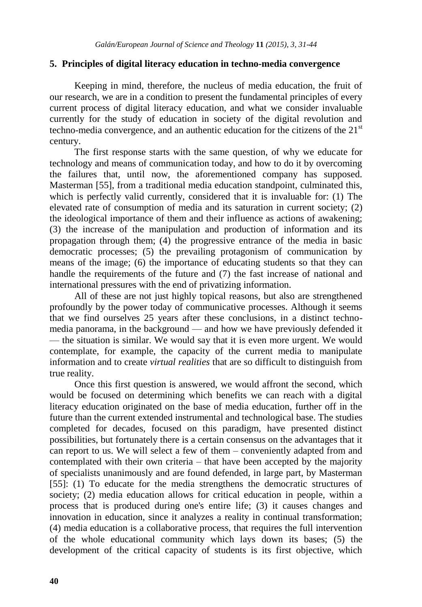#### **5. Principles of digital literacy education in techno-media convergence**

Keeping in mind, therefore, the nucleus of media education, the fruit of our research, we are in a condition to present the fundamental principles of every current process of digital literacy education, and what we consider invaluable currently for the study of education in society of the digital revolution and techno-media convergence, and an authentic education for the citizens of the  $21<sup>st</sup>$ century.

The first response starts with the same question, of why we educate for technology and means of communication today, and how to do it by overcoming the failures that, until now, the aforementioned company has supposed. Masterman [55], from a traditional media education standpoint, culminated this, which is perfectly valid currently, considered that it is invaluable for: (1) The elevated rate of consumption of media and its saturation in current society; (2) the ideological importance of them and their influence as actions of awakening; (3) the increase of the manipulation and production of information and its propagation through them; (4) the progressive entrance of the media in basic democratic processes; (5) the prevailing protagonism of communication by means of the image; (6) the importance of educating students so that they can handle the requirements of the future and (7) the fast increase of national and international pressures with the end of privatizing information.

All of these are not just highly topical reasons, but also are strengthened profoundly by the power today of communicative processes. Although it seems that we find ourselves 25 years after these conclusions, in a distinct technomedia panorama, in the background — and how we have previously defended it — the situation is similar. We would say that it is even more urgent. We would contemplate, for example, the capacity of the current media to manipulate information and to create *virtual realities* that are so difficult to distinguish from true reality.

Once this first question is answered, we would affront the second, which would be focused on determining which benefits we can reach with a digital literacy education originated on the base of media education, further off in the future than the current extended instrumental and technological base. The studies completed for decades, focused on this paradigm, have presented distinct possibilities, but fortunately there is a certain consensus on the advantages that it can report to us. We will select a few of them – conveniently adapted from and contemplated with their own criteria – that have been accepted by the majority of specialists unanimously and are found defended, in large part, by Masterman [55]: (1) To educate for the media strengthens the democratic structures of society; (2) media education allows for critical education in people, within a process that is produced during one's entire life; (3) it causes changes and innovation in education, since it analyzes a reality in continual transformation; (4) media education is a collaborative process, that requires the full intervention of the whole educational community which lays down its bases; (5) the development of the critical capacity of students is its first objective, which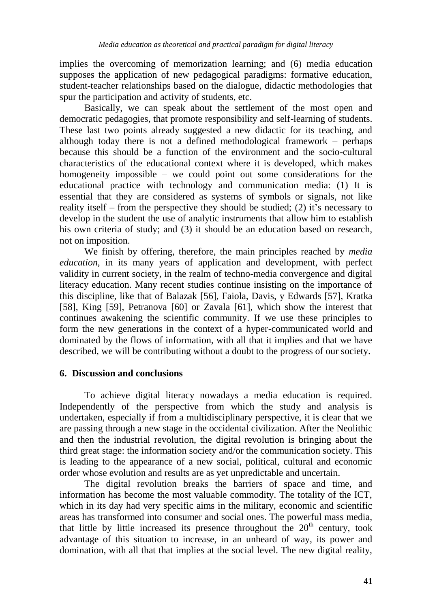implies the overcoming of memorization learning; and (6) media education supposes the application of new pedagogical paradigms: formative education, student-teacher relationships based on the dialogue, didactic methodologies that spur the participation and activity of students, etc.

Basically, we can speak about the settlement of the most open and democratic pedagogies, that promote responsibility and self-learning of students. These last two points already suggested a new didactic for its teaching, and although today there is not a defined methodological framework – perhaps because this should be a function of the environment and the socio-cultural characteristics of the educational context where it is developed, which makes homogeneity impossible – we could point out some considerations for the educational practice with technology and communication media: (1) It is essential that they are considered as systems of symbols or signals, not like reality itself – from the perspective they should be studied; (2) it's necessary to develop in the student the use of analytic instruments that allow him to establish his own criteria of study; and (3) it should be an education based on research, not on imposition.

We finish by offering, therefore, the main principles reached by *media education*, in its many years of application and development, with perfect validity in current society, in the realm of techno-media convergence and digital literacy education. Many recent studies continue insisting on the importance of this discipline, like that of Balazak [56], Faiola, Davis, y Edwards [57], Kratka [58], King [59], Petranova [60] or Zavala [61], which show the interest that continues awakening the scientific community. If we use these principles to form the new generations in the context of a hyper-communicated world and dominated by the flows of information, with all that it implies and that we have described, we will be contributing without a doubt to the progress of our society.

#### **6. Discussion and conclusions**

To achieve digital literacy nowadays a media education is required. Independently of the perspective from which the study and analysis is undertaken, especially if from a multidisciplinary perspective, it is clear that we are passing through a new stage in the occidental civilization. After the Neolithic and then the industrial revolution, the digital revolution is bringing about the third great stage: the information society and/or the communication society. This is leading to the appearance of a new social, political, cultural and economic order whose evolution and results are as yet unpredictable and uncertain.

The digital revolution breaks the barriers of space and time, and information has become the most valuable commodity. The totality of the ICT, which in its day had very specific aims in the military, economic and scientific areas has transformed into consumer and social ones. The powerful mass media, that little by little increased its presence throughout the  $20<sup>th</sup>$  century, took advantage of this situation to increase, in an unheard of way, its power and domination, with all that that implies at the social level. The new digital reality,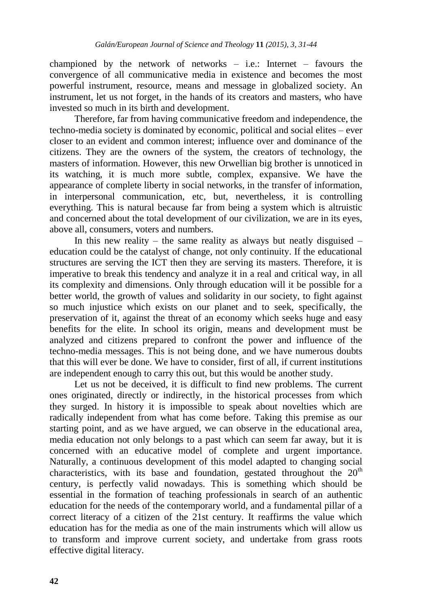championed by the network of networks  $-$  i.e.: Internet  $-$  favours the convergence of all communicative media in existence and becomes the most powerful instrument, resource, means and message in globalized society. An instrument, let us not forget, in the hands of its creators and masters, who have invested so much in its birth and development.

Therefore, far from having communicative freedom and independence, the techno-media society is dominated by economic, political and social elites – ever closer to an evident and common interest; influence over and dominance of the citizens. They are the owners of the system, the creators of technology, the masters of information. However, this new Orwellian big brother is unnoticed in its watching, it is much more subtle, complex, expansive. We have the appearance of complete liberty in social networks, in the transfer of information, in interpersonal communication, etc, but, nevertheless, it is controlling everything. This is natural because far from being a system which is altruistic and concerned about the total development of our civilization, we are in its eyes, above all, consumers, voters and numbers.

In this new reality – the same reality as always but neatly disguised – education could be the catalyst of change, not only continuity. If the educational structures are serving the ICT then they are serving its masters. Therefore, it is imperative to break this tendency and analyze it in a real and critical way, in all its complexity and dimensions. Only through education will it be possible for a better world, the growth of values and solidarity in our society, to fight against so much injustice which exists on our planet and to seek, specifically, the preservation of it, against the threat of an economy which seeks huge and easy benefits for the elite. In school its origin, means and development must be analyzed and citizens prepared to confront the power and influence of the techno-media messages. This is not being done, and we have numerous doubts that this will ever be done. We have to consider, first of all, if current institutions are independent enough to carry this out, but this would be another study.

Let us not be deceived, it is difficult to find new problems. The current ones originated, directly or indirectly, in the historical processes from which they surged. In history it is impossible to speak about novelties which are radically independent from what has come before. Taking this premise as our starting point, and as we have argued, we can observe in the educational area, media education not only belongs to a past which can seem far away, but it is concerned with an educative model of complete and urgent importance. Naturally, a continuous development of this model adapted to changing social characteristics, with its base and foundation, gestated throughout the  $20<sup>th</sup>$ century, is perfectly valid nowadays. This is something which should be essential in the formation of teaching professionals in search of an authentic education for the needs of the contemporary world, and a fundamental pillar of a correct literacy of a citizen of the 21st century. It reaffirms the value which education has for the media as one of the main instruments which will allow us to transform and improve current society, and undertake from grass roots effective digital literacy.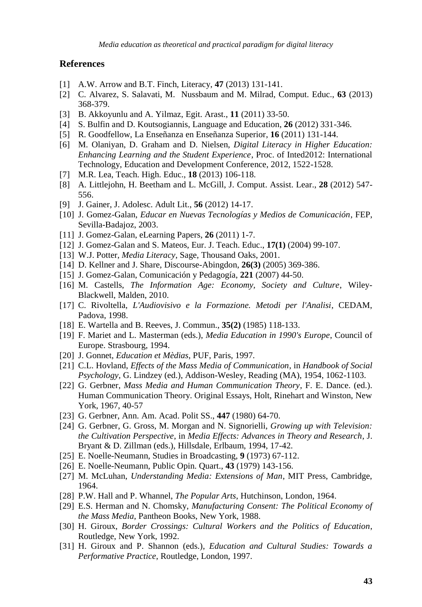#### **References**

- [1] A.W. Arrow and B.T. Finch, Literacy, **47** (2013) 131-141.
- [2] C. Alvarez, S. Salavati, M. Nussbaum and M. Milrad, Comput. Educ., **63** (2013) 368-379.
- [3] B. Akkoyunlu and A. Yilmaz, Egit. Arast., **11** (2011) 33-50.
- [4] S. Bulfin and D. Koutsogiannis, Language and Education, **26** (2012) 331-346.
- [5] R. Goodfellow, La Enseñanza en Enseñanza Superior, **16** (2011) 131-144.
- [6] M. Olaniyan, D. Graham and D. Nielsen, *Digital Literacy in Higher Education: Enhancing Learning and the Student Experience*, Proc. of Inted2012: International Technology, Education and Development Conference, 2012, 1522-1528.
- [7] M.R. Lea, Teach. High. Educ., **18** (2013) 106-118.
- [8] A. Littlejohn, H. Beetham and L. McGill, J. Comput. Assist. Lear., **28** (2012) 547- 556.
- [9] J. Gainer, J. Adolesc. Adult Lit., **56** (2012) 14-17.
- [10] J. Gomez-Galan, *Educar en Nuevas Tecnologías y Medios de Comunicación*, FEP, Sevilla-Badajoz, 2003.
- [11] J. Gomez-Galan, eLearning Papers, **26** (2011) 1-7.
- [12] J. Gomez-Galan and S. Mateos, Eur. J. Teach. Educ., **17(1)** (2004) 99-107.
- [13] W.J. Potter, *Media Literacy*, Sage, Thousand Oaks, 2001.
- [14] D. Kellner and J. Share, Discourse-Abingdon, **26(3)** (2005) 369-386.
- [15] J. Gomez-Galan, Comunicación y Pedagogía, **221** (2007) 44-50.
- [16] M. Castells, *The Information Age: Economy, Society and Culture*, Wiley-Blackwell, Malden, 2010.
- [17] C. Rivoltella, *L'Audiovisivo e la Formazione. Metodi per l'Analisi*, CEDAM, Padova, 1998.
- [18] E. Wartella and B. Reeves, J. Commun., **35(2)** (1985) 118-133.
- [19] F. Mariet and L. Masterman (eds.), *Media Education in 1990's Europe*, Council of Europe. Strasbourg, 1994.
- [20] J. Gonnet, *Education et Mèdias*, PUF, Paris, 1997.
- [21] C.L. Hovland, *Effects of the Mass Media of Communication*, in *Handbook of Social Psychology*, G. Lindzey (ed.), Addison-Wesley, Reading (MA), 1954, 1062-1103.
- [22] G. Gerbner, *Mass Media and Human Communication Theory*, F. E. Dance. (ed.). Human Communication Theory. Original Essays, Holt, Rinehart and Winston, New York, 1967, 40-57
- [23] G. Gerbner, Ann. Am. Acad. Polit SS., **447** (1980) 64-70.
- [24] G. Gerbner, G. Gross, M. Morgan and N. Signorielli, *Growing up with Television: the Cultivation Perspective*, in *Media Effects: Advances in Theory and Research*, J. Bryant & D. Zillman (eds.), Hillsdale, Erlbaum, 1994, 17-42.
- [25] E. Noelle-Neumann, Studies in Broadcasting, **9** (1973) 67-112.
- [26] E. Noelle-Neumann, Public Opin. Quart., **43** (1979) 143-156.
- [27] M. McLuhan, *Understanding Media: Extensions of Man*, MIT Press, Cambridge, 1964.
- [28] P.W. Hall and P. Whannel, *The Popular Arts*, Hutchinson, London, 1964.
- [29] E.S. Herman and N. Chomsky, *Manufacturing Consent: The Political Economy of the Mass Media*, Pantheon Books, New York, 1988.
- [30] H. Giroux, *Border Crossings: Cultural Workers and the Politics of Education*, Routledge, New York, 1992.
- [31] H. Giroux and P. Shannon (eds.), *Education and Cultural Studies: Towards a Performative Practice*, Routledge, London, 1997.